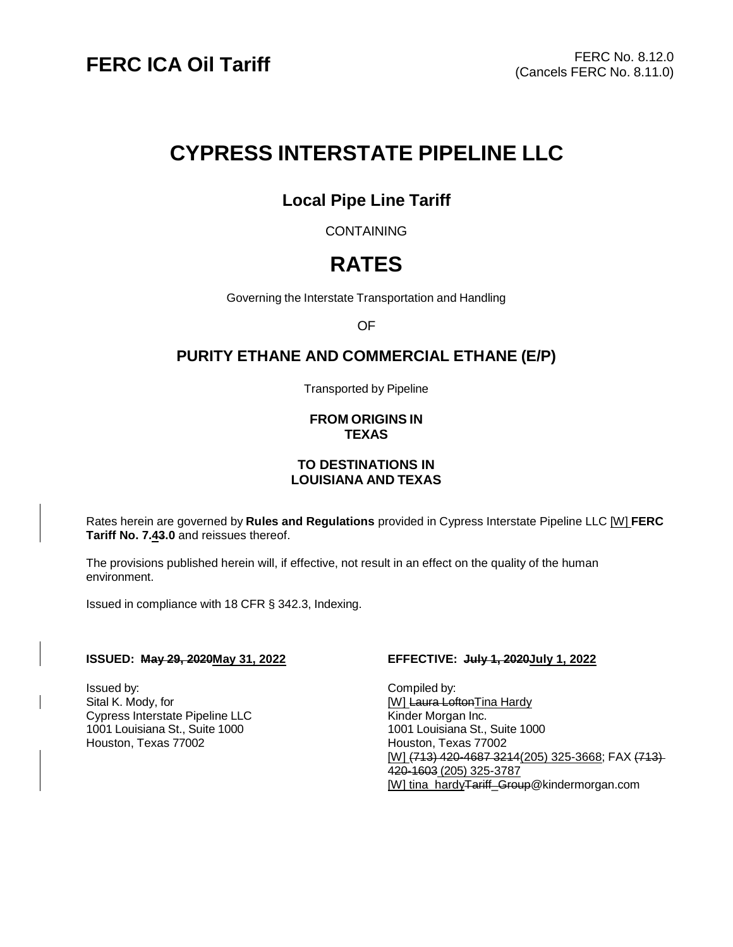# **CYPRESS INTERSTATE PIPELINE LLC**

## **Local Pipe Line Tariff**

**CONTAINING** 

# **RATES**

Governing the Interstate Transportation and Handling

OF

## **PURITY ETHANE AND COMMERCIAL ETHANE (E/P)**

Transported by Pipeline

#### **FROM ORIGINS IN TEXAS**

#### **TO DESTINATIONS IN LOUISIANA AND TEXAS**

Rates herein are governed by **Rules and Regulations** provided in Cypress Interstate Pipeline LLC [W] **FERC Tariff No. 7.43.0** and reissues thereof.

The provisions published herein will, if effective, not result in an effect on the quality of the human environment.

Issued in compliance with 18 CFR § 342.3, Indexing.

#### **ISSUED: May 29, 2020May 31, 2022 EFFECTIVE: July 1, 2020July 1, 2022**

Issued by: Compiled by: Sital K. Mody, for **Example 20** and the control of the control of the control of the control of the control of the control of the control of the control of the control of the control of the control of the control of the co Cypress Interstate Pipeline LLC Kinder Morgan Inc. 1001 Louisiana St., Suite 1000<br>
Houston, Texas 77002<br>
Houston, Texas 77002

Houston, Texas 77002 [W] (713) 420-4687 3214(205) 325-3668; FAX (713) 420-1603 (205) 325-3787 [W] tina\_hard[yTariff\\_Group@kindermorgan.com](mailto:Tariff_Group@kindermorgan.com)